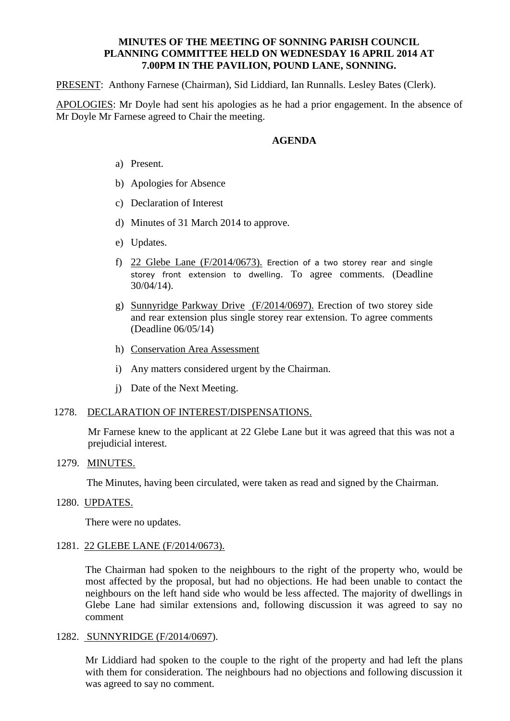## **MINUTES OF THE MEETING OF SONNING PARISH COUNCIL PLANNING COMMITTEE HELD ON WEDNESDAY 16 APRIL 2014 AT 7.00PM IN THE PAVILION, POUND LANE, SONNING.**

PRESENT: Anthony Farnese (Chairman), Sid Liddiard, Ian Runnalls. Lesley Bates (Clerk).

APOLOGIES: Mr Doyle had sent his apologies as he had a prior engagement. In the absence of Mr Doyle Mr Farnese agreed to Chair the meeting.

### **AGENDA**

- a) Present.
- b) Apologies for Absence
- c) Declaration of Interest
- d) Minutes of 31 March 2014 to approve.
- e) Updates.
- f) 22 Glebe Lane (F/2014/0673). Erection of a two storey rear and single storey front extension to dwelling. To agree comments. (Deadline 30/04/14).
- g) Sunnyridge Parkway Drive (F/2014/0697). Erection of two storey side and rear extension plus single storey rear extension. To agree comments (Deadline 06/05/14)
- h) Conservation Area Assessment
- i) Any matters considered urgent by the Chairman.
- j) Date of the Next Meeting.

#### 1278. DECLARATION OF INTEREST/DISPENSATIONS.

Mr Farnese knew to the applicant at 22 Glebe Lane but it was agreed that this was not a prejudicial interest.

1279. MINUTES.

The Minutes, having been circulated, were taken as read and signed by the Chairman.

1280. UPDATES.

There were no updates.

1281. 22 GLEBE LANE (F/2014/0673).

The Chairman had spoken to the neighbours to the right of the property who, would be most affected by the proposal, but had no objections. He had been unable to contact the neighbours on the left hand side who would be less affected. The majority of dwellings in Glebe Lane had similar extensions and, following discussion it was agreed to say no comment

1282. SUNNYRIDGE (F/2014/0697).

Mr Liddiard had spoken to the couple to the right of the property and had left the plans with them for consideration. The neighbours had no objections and following discussion it was agreed to say no comment.